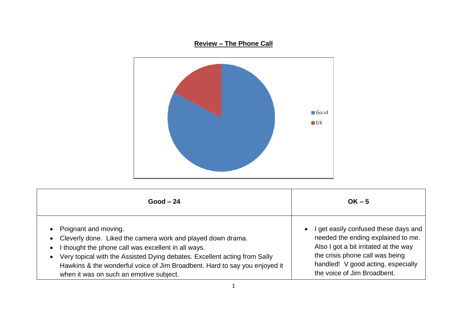## **Review – The Phone Call**



| $Good - 24$                                                                                                                                                                                                                                                                                                                                                                                          | $OK - 5$                                                                                                                                                                                                                  |
|------------------------------------------------------------------------------------------------------------------------------------------------------------------------------------------------------------------------------------------------------------------------------------------------------------------------------------------------------------------------------------------------------|---------------------------------------------------------------------------------------------------------------------------------------------------------------------------------------------------------------------------|
| Poignant and moving.<br>$\bullet$<br>Cleverly done. Liked the camera work and played down drama.<br>$\bullet$<br>I thought the phone call was excellent in all ways.<br>$\bullet$<br>Very topical with the Assisted Dying debates. Excellent acting from Sally<br>$\bullet$<br>Hawkins & the wonderful voice of Jim Broadbent. Hard to say you enjoyed it<br>when it was on such an emotive subject. | get easily confused these days and<br>needed the ending explained to me.<br>Also I got a bit irritated at the way<br>the crisis phone call was being<br>handled! V good acting, especially<br>the voice of Jim Broadbent. |